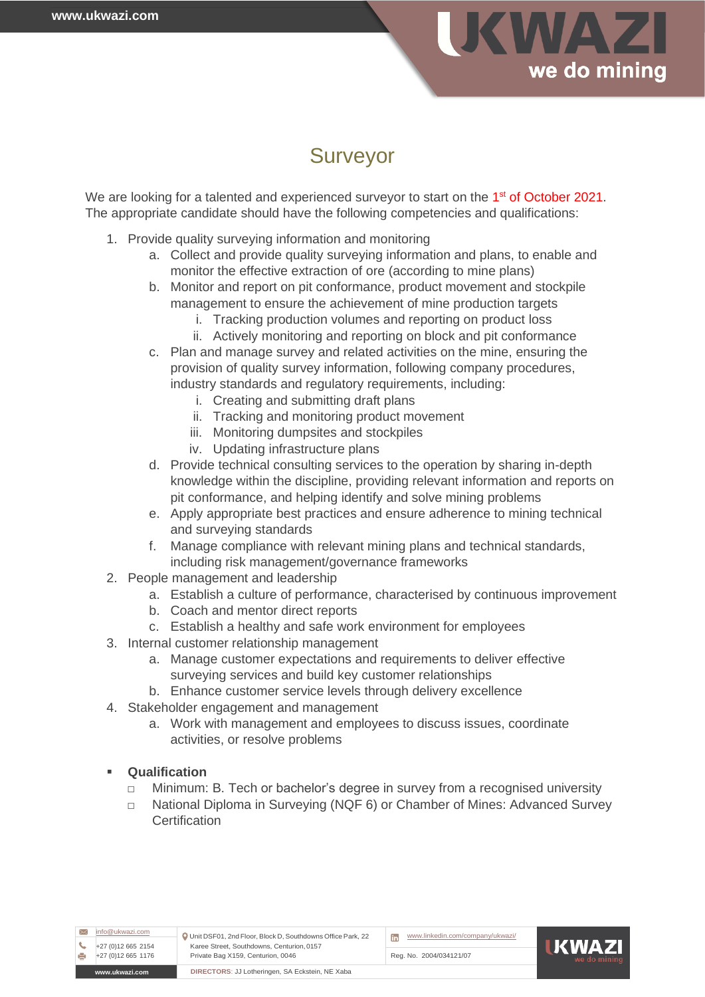

# Surveyor

We are looking for a talented and experienced surveyor to start on the 1<sup>st</sup> of October 2021. The appropriate candidate should have the following competencies and qualifications:

- 1. Provide quality surveying information and monitoring
	- a. Collect and provide quality surveying information and plans, to enable and monitor the effective extraction of ore (according to mine plans)
	- b. Monitor and report on pit conformance, product movement and stockpile management to ensure the achievement of mine production targets
		- i. Tracking production volumes and reporting on product loss
		- ii. Actively monitoring and reporting on block and pit conformance
	- c. Plan and manage survey and related activities on the mine, ensuring the provision of quality survey information, following company procedures, industry standards and regulatory requirements, including:
		- i. Creating and submitting draft plans
		- ii. Tracking and monitoring product movement
		- iii. Monitoring dumpsites and stockpiles
		- iv. Updating infrastructure plans
	- d. Provide technical consulting services to the operation by sharing in-depth knowledge within the discipline, providing relevant information and reports on pit conformance, and helping identify and solve mining problems
	- e. Apply appropriate best practices and ensure adherence to mining technical and surveying standards
	- f. Manage compliance with relevant mining plans and technical standards, including risk management/governance frameworks
- 2. People management and leadership
	- a. Establish a culture of performance, characterised by continuous improvement
	- b. Coach and mentor direct reports
	- c. Establish a healthy and safe work environment for employees
- 3. Internal customer relationship management
	- a. Manage customer expectations and requirements to deliver effective surveying services and build key customer relationships
	- b. Enhance customer service levels through delivery excellence
- 4. Stakeholder engagement and management
	- a. Work with management and employees to discuss issues, coordinate activities, or resolve problems

## **Qualification**

- □ Minimum: B. Tech or bachelor's degree in survey from a recognised university
- □ National Diploma in Surveying (NQF 6) or Chamber of Mines: Advanced Survey **Certification**